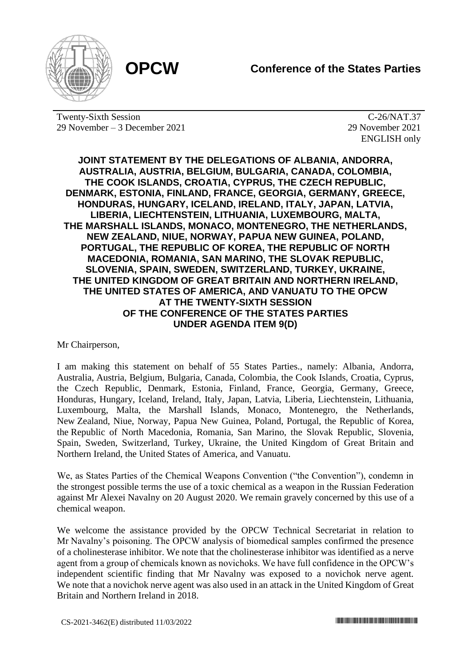

Twenty-Sixth Session 29 November – 3 December 2021

C-26/NAT.37 29 November 2021 ENGLISH only

**JOINT STATEMENT BY THE DELEGATIONS OF ALBANIA, ANDORRA, AUSTRALIA, AUSTRIA, BELGIUM, BULGARIA, CANADA, COLOMBIA, THE COOK ISLANDS, CROATIA, CYPRUS, THE CZECH REPUBLIC, DENMARK, ESTONIA, FINLAND, FRANCE, GEORGIA, GERMANY, GREECE, HONDURAS, HUNGARY, ICELAND, IRELAND, ITALY, JAPAN, LATVIA, LIBERIA, LIECHTENSTEIN, LITHUANIA, LUXEMBOURG, MALTA, THE MARSHALL ISLANDS, MONACO, MONTENEGRO, THE NETHERLANDS, NEW ZEALAND, NIUE, NORWAY, PAPUA NEW GUINEA, POLAND, PORTUGAL, THE REPUBLIC OF KOREA, THE REPUBLIC OF NORTH MACEDONIA, ROMANIA, SAN MARINO, THE SLOVAK REPUBLIC, SLOVENIA, SPAIN, SWEDEN, SWITZERLAND, TURKEY, UKRAINE, THE UNITED KINGDOM OF GREAT BRITAIN AND NORTHERN IRELAND, THE UNITED STATES OF AMERICA, AND VANUATU TO THE OPCW AT THE TWENTY-SIXTH SESSION OF THE CONFERENCE OF THE STATES PARTIES UNDER AGENDA ITEM 9(D)**

Mr Chairperson,

I am making this statement on behalf of 55 States Parties., namely: Albania, Andorra, Australia, Austria, Belgium, Bulgaria, Canada, Colombia, the Cook Islands, Croatia, Cyprus, the Czech Republic, Denmark, Estonia, Finland, France, Georgia, Germany, Greece, Honduras, Hungary, Iceland, Ireland, Italy, Japan, Latvia, Liberia, Liechtenstein, Lithuania, Luxembourg, Malta, the Marshall Islands, Monaco, Montenegro, the Netherlands, New Zealand, Niue, Norway, Papua New Guinea, Poland, Portugal, the Republic of Korea, the Republic of North Macedonia, Romania, San Marino, the Slovak Republic, Slovenia, Spain, Sweden, Switzerland, Turkey, Ukraine, the United Kingdom of Great Britain and Northern Ireland, the United States of America, and Vanuatu.

We, as States Parties of the Chemical Weapons Convention ("the Convention"), condemn in the strongest possible terms the use of a toxic chemical as a weapon in the Russian Federation against Mr Alexei Navalny on 20 August 2020. We remain gravely concerned by this use of a chemical weapon.

We welcome the assistance provided by the OPCW Technical Secretariat in relation to Mr Navalny's poisoning. The OPCW analysis of biomedical samples confirmed the presence of a cholinesterase inhibitor. We note that the cholinesterase inhibitor was identified as a nerve agent from a group of chemicals known as novichoks. We have full confidence in the OPCW's independent scientific finding that Mr Navalny was exposed to a novichok nerve agent. We note that a novichok nerve agent was also used in an attack in the United Kingdom of Great Britain and Northern Ireland in 2018.